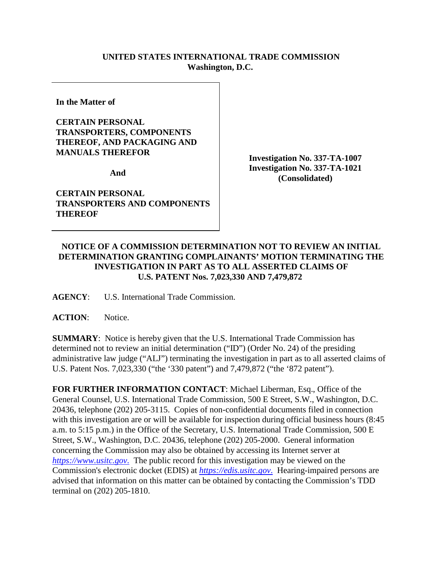## **UNITED STATES INTERNATIONAL TRADE COMMISSION Washington, D.C.**

**In the Matter of** 

## **CERTAIN PERSONAL TRANSPORTERS, COMPONENTS THEREOF, AND PACKAGING AND MANUALS THEREFOR**

**And** 

**CERTAIN PERSONAL TRANSPORTERS AND COMPONENTS THEREOF**

**Investigation No. 337-TA-1007 Investigation No. 337-TA-1021 (Consolidated)**

## **NOTICE OF A COMMISSION DETERMINATION NOT TO REVIEW AN INITIAL DETERMINATION GRANTING COMPLAINANTS' MOTION TERMINATING THE INVESTIGATION IN PART AS TO ALL ASSERTED CLAIMS OF U.S. PATENT Nos. 7,023,330 AND 7,479,872**

**AGENCY**: U.S. International Trade Commission.

## ACTION: Notice.

**SUMMARY**: Notice is hereby given that the U.S. International Trade Commission has determined not to review an initial determination ("ID") (Order No. 24) of the presiding administrative law judge ("ALJ") terminating the investigation in part as to all asserted claims of U.S. Patent Nos. 7,023,330 ("the '330 patent") and 7,479,872 ("the '872 patent").

**FOR FURTHER INFORMATION CONTACT**: Michael Liberman, Esq., Office of the General Counsel, U.S. International Trade Commission, 500 E Street, S.W., Washington, D.C. 20436, telephone (202) 205-3115. Copies of non-confidential documents filed in connection with this investigation are or will be available for inspection during official business hours (8:45) a.m. to 5:15 p.m.) in the Office of the Secretary, U.S. International Trade Commission, 500 E Street, S.W., Washington, D.C. 20436, telephone (202) 205-2000. General information concerning the Commission may also be obtained by accessing its Internet server at *[https://www.usitc.gov](https://www.usitc.gov./)*. The public record for this investigation may be viewed on the Commission's electronic docket (EDIS) at *[https://edis.usitc.gov](https://edis.usitc.gov./)*. Hearing-impaired persons are advised that information on this matter can be obtained by contacting the Commission's TDD terminal on (202) 205-1810.